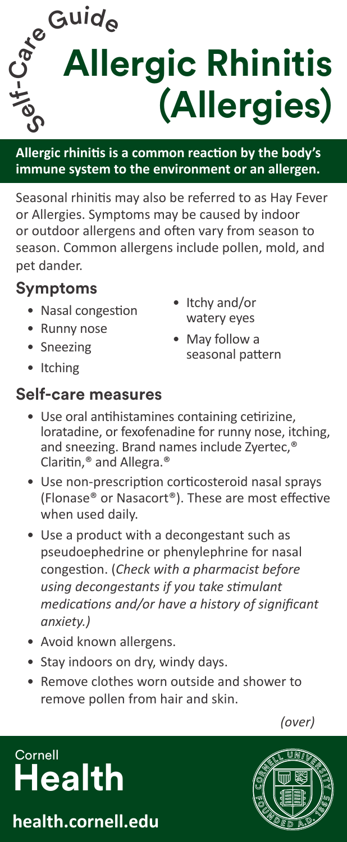**Medi** C - Cuide<br>
Se Allergie Rhini **Allergic Rhinitis (Allergies)**

**Allergic rhinitis is a common reaction by the body's immune system to the environment or an allergen.**

Seasonal rhinitis may also be referred to as Hay Fever or Allergies. Symptoms may be caused by indoor or outdoor allergens and often vary from season to season. Common allergens include pollen, mold, and pet dander.

## **Symptoms**

- Nasal congestion
- Runny nose
- Sneezing
- Itching
- **Self-care measures**
- Itchy and/or watery eyes
- May follow a seasonal pattern
- Use oral antihistamines containing cetirizine, loratadine, or fexofenadine for runny nose, itching, and sneezing. Brand names include Zyertec,® Claritin,® and Allegra.®
- Use non-prescription corticosteroid nasal sprays (Flonase® or Nasacort®). These are most effective when used daily.
- Use a product with a decongestant such as pseudoephedrine or phenylephrine for nasal congestion. (*Check with a pharmacist before using decongestants if you take stimulant medications and/or have a history of significant anxiety.)*
- Avoid known allergens.
- Stay indoors on dry, windy days.
- Remove clothes worn outside and shower to remove pollen from hair and skin.

*(over)*

## **Cornell Health**

**health.cornell.edu**